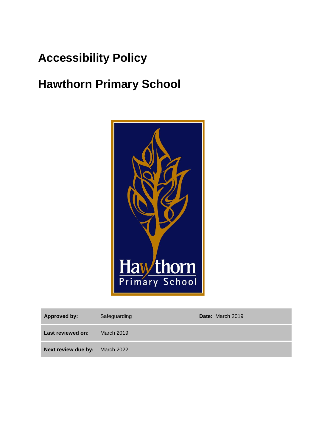# **Accessibility Policy**

# **Hawthorn Primary School**



| <b>Approved by:</b>                   | Safeguarding      | Date: March 2019 |
|---------------------------------------|-------------------|------------------|
| Last reviewed on:                     | <b>March 2019</b> |                  |
| <b>Next review due by:</b> March 2022 |                   |                  |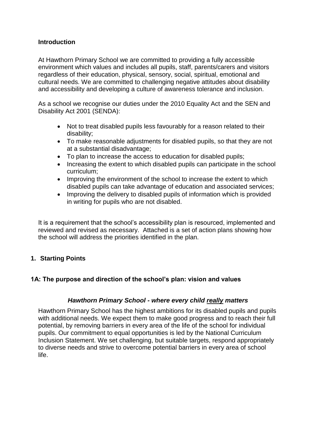#### **Introduction**

At Hawthorn Primary School we are committed to providing a fully accessible environment which values and includes all pupils, staff, parents/carers and visitors regardless of their education, physical, sensory, social, spiritual, emotional and cultural needs. We are committed to challenging negative attitudes about disability and accessibility and developing a culture of awareness tolerance and inclusion.

As a school we recognise our duties under the 2010 Equality Act and the SEN and Disability Act 2001 (SENDA):

- Not to treat disabled pupils less favourably for a reason related to their disability;
- To make reasonable adjustments for disabled pupils, so that they are not at a substantial disadvantage;
- To plan to increase the access to education for disabled pupils;
- Increasing the extent to which disabled pupils can participate in the school curriculum;
- Improving the environment of the school to increase the extent to which disabled pupils can take advantage of education and associated services;
- Improving the delivery to disabled pupils of information which is provided in writing for pupils who are not disabled.

It is a requirement that the school's accessibility plan is resourced, implemented and reviewed and revised as necessary. Attached is a set of action plans showing how the school will address the priorities identified in the plan.

## **1. Starting Points**

#### **1A: The purpose and direction of the school's plan: vision and values**

#### *Hawthorn Primary School - where every child really matters*

Hawthorn Primary School has the highest ambitions for its disabled pupils and pupils with additional needs. We expect them to make good progress and to reach their full potential, by removing barriers in every area of the life of the school for individual pupils. Our commitment to equal opportunities is led by the National Curriculum Inclusion Statement. We set challenging, but suitable targets, respond appropriately to diverse needs and strive to overcome potential barriers in every area of school life.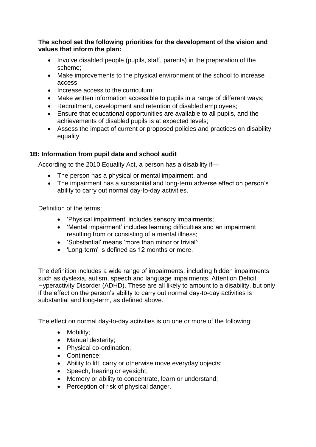**The school set the following priorities for the development of the vision and values that inform the plan:** 

- Involve disabled people (pupils, staff, parents) in the preparation of the scheme;
- Make improvements to the physical environment of the school to increase access;
- Increase access to the curriculum:
- Make written information accessible to pupils in a range of different ways:
- Recruitment, development and retention of disabled employees;
- Ensure that educational opportunities are available to all pupils, and the achievements of disabled pupils is at expected levels;
- Assess the impact of current or proposed policies and practices on disability equality.

# **1B: Information from pupil data and school audit**

According to the 2010 Equality Act, a person has a disability if—

- The person has a physical or mental impairment, and
- The impairment has a substantial and long-term adverse effect on person's ability to carry out normal day-to-day activities.

Definition of the terms:

- 'Physical impairment' includes sensory impairments;
- 'Mental impairment' includes learning difficulties and an impairment resulting from or consisting of a mental illness;
- 'Substantial' means 'more than minor or trivial';
- 'Long-term' is defined as 12 months or more.

The definition includes a wide range of impairments, including hidden impairments such as dyslexia, autism, speech and language impairments, Attention Deficit Hyperactivity Disorder (ADHD). These are all likely to amount to a disability, but only if the effect on the person's ability to carry out normal day-to-day activities is substantial and long-term, as defined above.

The effect on normal day-to-day activities is on one or more of the following:

- Mobility;
- Manual dexterity;
- Physical co-ordination;
- Continence:
- Ability to lift, carry or otherwise move everyday objects;
- Speech, hearing or eyesight;
- Memory or ability to concentrate, learn or understand;
- Perception of risk of physical danger.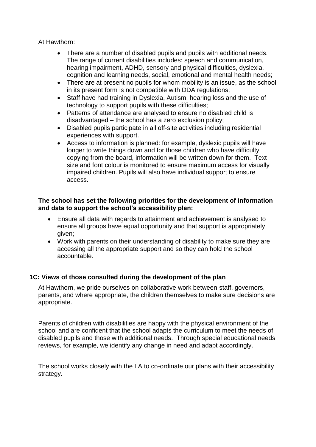At Hawthorn:

- There are a number of disabled pupils and pupils with additional needs. The range of current disabilities includes: speech and communication, hearing impairment, ADHD, sensory and physical difficulties, dyslexia, cognition and learning needs, social, emotional and mental health needs;
- There are at present no pupils for whom mobility is an issue, as the school in its present form is not compatible with DDA regulations;
- Staff have had training in Dyslexia, Autism, hearing loss and the use of technology to support pupils with these difficulties;
- Patterns of attendance are analysed to ensure no disabled child is disadvantaged – the school has a zero exclusion policy;
- Disabled pupils participate in all off-site activities including residential experiences with support.
- Access to information is planned: for example, dyslexic pupils will have longer to write things down and for those children who have difficulty copying from the board, information will be written down for them. Text size and font colour is monitored to ensure maximum access for visually impaired children. Pupils will also have individual support to ensure access.

#### **The school has set the following priorities for the development of information and data to support the school's accessibility plan:**

- Ensure all data with regards to attainment and achievement is analysed to ensure all groups have equal opportunity and that support is appropriately given;
- Work with parents on their understanding of disability to make sure they are accessing all the appropriate support and so they can hold the school accountable.

## **1C: Views of those consulted during the development of the plan**

At Hawthorn, we pride ourselves on collaborative work between staff, governors, parents, and where appropriate, the children themselves to make sure decisions are appropriate.

Parents of children with disabilities are happy with the physical environment of the school and are confident that the school adapts the curriculum to meet the needs of disabled pupils and those with additional needs. Through special educational needs reviews, for example, we identify any change in need and adapt accordingly.

The school works closely with the LA to co-ordinate our plans with their accessibility strategy.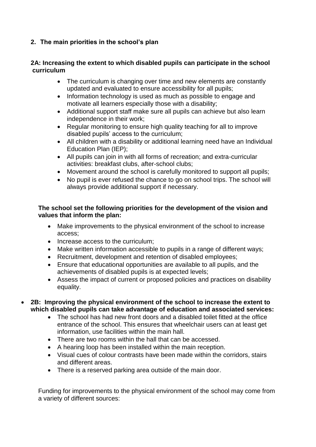# **2. The main priorities in the school's plan**

#### **2A: Increasing the extent to which disabled pupils can participate in the school curriculum**

- The curriculum is changing over time and new elements are constantly updated and evaluated to ensure accessibility for all pupils;
- Information technology is used as much as possible to engage and motivate all learners especially those with a disability;
- Additional support staff make sure all pupils can achieve but also learn independence in their work;
- Regular monitoring to ensure high quality teaching for all to improve disabled pupils' access to the curriculum;
- All children with a disability or additional learning need have an Individual Education Plan (IEP);
- All pupils can join in with all forms of recreation; and extra-curricular activities: breakfast clubs, after-school clubs;
- Movement around the school is carefully monitored to support all pupils;
- No pupil is ever refused the chance to go on school trips. The school will always provide additional support if necessary.

#### **The school set the following priorities for the development of the vision and values that inform the plan:**

- Make improvements to the physical environment of the school to increase access;
- Increase access to the curriculum:
- Make written information accessible to pupils in a range of different ways;
- Recruitment, development and retention of disabled employees;
- Ensure that educational opportunities are available to all pupils, and the achievements of disabled pupils is at expected levels;
- Assess the impact of current or proposed policies and practices on disability equality.
- **2B: Improving the physical environment of the school to increase the extent to which disabled pupils can take advantage of education and associated services:**
	- The school has had new front doors and a disabled toilet fitted at the office entrance of the school. This ensures that wheelchair users can at least get information, use facilities within the main hall.
	- There are two rooms within the hall that can be accessed.
	- A hearing loop has been installed within the main reception.
	- Visual cues of colour contrasts have been made within the corridors, stairs and different areas.
	- There is a reserved parking area outside of the main door.

Funding for improvements to the physical environment of the school may come from a variety of different sources: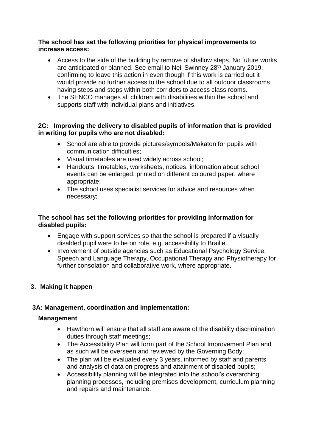#### **The school has set the following priorities for physical improvements to increase access:**

- Access to the side of the building by remove of shallow steps. No future works are anticipated or planned. See email to Neil Swinney 28th January 2019, confirming to leave this action in even though if this work is carried out it would provide no further access to the school due to all outdoor classrooms having steps and steps within both corridors to access class rooms.
- The SENCO manages all children with disabilities within the school and supports staff with individual plans and initiatives.

## **2C: Improving the delivery to disabled pupils of information that is provided in writing for pupils who are not disabled:**

- School are able to provide pictures/symbols/Makaton for pupils with communication difficulties;
- Visual timetables are used widely across school;
- Handouts, timetables, worksheets, notices, information about school events can be enlarged, printed on different coloured paper, where appropriate;
- The school uses specialist services for advice and resources when necessary;

# **The school has set the following priorities for providing information for disabled pupils:**

- Engage with support services so that the school is prepared if a visually disabled pupil were to be on role, e.g. accessibility to Braille.
- Involvement of outside agencies such as Educational Psychology Service, Speech and Language Therapy, Occupational Therapy and Physiotherapy for further consolation and collaborative work, where appropriate.

## **3. Making it happen**

# **3A: Management, coordination and implementation:**

## **Management**:

- Hawthorn will ensure that all staff are aware of the disability discrimination duties through staff meetings;
- The Accessibility Plan will form part of the School Improvement Plan and as such will be overseen and reviewed by the Governing Body;
- The plan will be evaluated every 3 years, informed by staff and parents and analysis of data on progress and attainment of disabled pupils;
- Accessibility planning will be integrated into the school's overarching planning processes, including premises development, curriculum planning and repairs and maintenance.